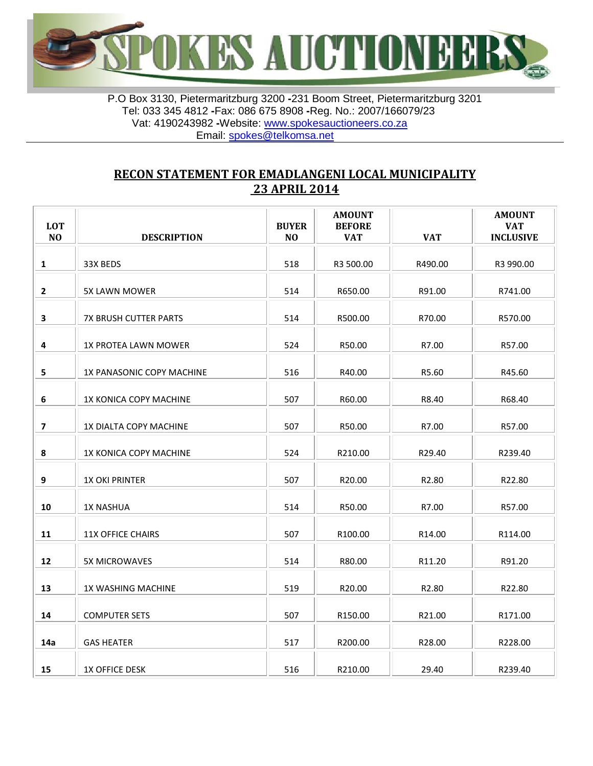

P.O Box 3130, Pietermaritzburg 3200 **-**231 Boom Street, Pietermaritzburg 3201 Tel: 033 345 4812 **-**Fax: 086 675 8908 **-**Reg. No.: 2007/166079/23 Vat: 4190243982 **-**Website: [www.spokesauctioneers.co.za](http://www.spokesauctioneers.co.za/) Email: [spokes@telkomsa.net](mailto:spokes@telkomsa.net)

## **RECON STATEMENT FOR EMADLANGENI LOCAL MUNICIPALITY 23 APRIL 2014**

| <b>LOT</b><br>N <sub>O</sub> | <b>DESCRIPTION</b>           | <b>BUYER</b><br>N <sub>O</sub> | <b>AMOUNT</b><br><b>BEFORE</b><br><b>VAT</b> | <b>VAT</b> | <b>AMOUNT</b><br><b>VAT</b><br><b>INCLUSIVE</b> |
|------------------------------|------------------------------|--------------------------------|----------------------------------------------|------------|-------------------------------------------------|
| 1                            | 33X BEDS                     | 518                            | R3 500.00                                    | R490.00    | R3 990.00                                       |
| $\mathbf{2}$                 | 5X LAWN MOWER                | 514                            | R650.00                                      | R91.00     | R741.00                                         |
| 3                            | <b>7X BRUSH CUTTER PARTS</b> | 514                            | R500.00                                      | R70.00     | R570.00                                         |
| $\overline{\mathbf{4}}$      | 1X PROTEA LAWN MOWER         | 524                            | R50.00                                       | R7.00      | R57.00                                          |
| 5                            | 1X PANASONIC COPY MACHINE    | 516                            | R40.00                                       | R5.60      | R45.60                                          |
| $\boldsymbol{6}$             | 1X KONICA COPY MACHINE       | 507                            | R60.00                                       | R8.40      | R68.40                                          |
| $\overline{\mathbf{z}}$      | 1X DIALTA COPY MACHINE       | 507                            | R50.00                                       | R7.00      | R57.00                                          |
| 8                            | 1X KONICA COPY MACHINE       | 524                            | R210.00                                      | R29.40     | R239.40                                         |
| 9                            | <b>1X OKI PRINTER</b>        | 507                            | R20.00                                       | R2.80      | R22.80                                          |
| 10                           | <b>1X NASHUA</b>             | 514                            | R50.00                                       | R7.00      | R57.00                                          |
| 11                           | <b>11X OFFICE CHAIRS</b>     | 507                            | R100.00                                      | R14.00     | R114.00                                         |
| 12                           | <b>5X MICROWAVES</b>         | 514                            | R80.00                                       | R11.20     | R91.20                                          |
| 13                           | 1X WASHING MACHINE           | 519                            | R20.00                                       | R2.80      | R22.80                                          |
| 14                           | <b>COMPUTER SETS</b>         | 507                            | R150.00                                      | R21.00     | R171.00                                         |
| 14a                          | <b>GAS HEATER</b>            | 517                            | R200.00                                      | R28.00     | R228.00                                         |
| 15                           | <b>1X OFFICE DESK</b>        | 516                            | R210.00                                      | 29.40      | R239.40                                         |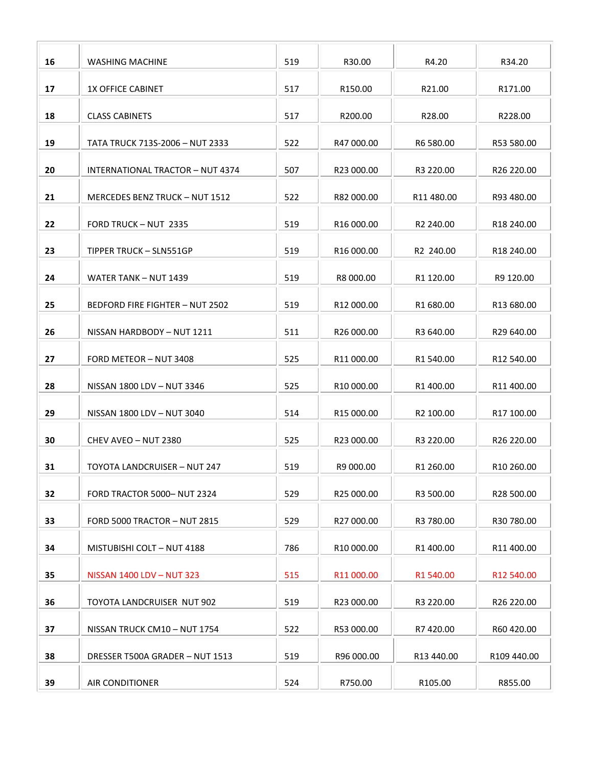| 16 | WASHING MACHINE                         | 519 | R30.00     | R4.20      | R34.20                 |
|----|-----------------------------------------|-----|------------|------------|------------------------|
| 17 | <b>1X OFFICE CABINET</b>                | 517 | R150.00    | R21.00     | R171.00                |
| 18 | <b>CLASS CABINETS</b>                   | 517 | R200.00    | R28.00     | R228.00                |
| 19 | TATA TRUCK 713S-2006 - NUT 2333         | 522 | R47 000.00 | R6 580.00  | R53 580.00             |
| 20 | <b>INTERNATIONAL TRACTOR - NUT 4374</b> | 507 | R23 000.00 | R3 220.00  | R26 220.00             |
| 21 | MERCEDES BENZ TRUCK - NUT 1512          | 522 | R82 000.00 | R11 480.00 | R93 480.00             |
| 22 | FORD TRUCK - NUT 2335                   | 519 | R16 000.00 | R2 240.00  | R18 240.00             |
| 23 | TIPPER TRUCK - SLN551GP                 | 519 | R16 000.00 | R2 240.00  | R18 240.00             |
| 24 | WATER TANK - NUT 1439                   | 519 | R8 000.00  | R1 120.00  | R9 120.00              |
| 25 | BEDFORD FIRE FIGHTER - NUT 2502         | 519 | R12 000.00 | R1 680.00  | R <sub>13</sub> 680.00 |
|    |                                         |     |            |            |                        |
| 26 | NISSAN HARDBODY - NUT 1211              | 511 | R26 000.00 | R3 640.00  | R29 640.00             |
| 27 | FORD METEOR - NUT 3408                  | 525 | R11 000.00 | R1 540.00  | R12 540.00             |
| 28 | NISSAN 1800 LDV - NUT 3346              | 525 | R10 000.00 | R1 400.00  | R11 400.00             |
| 29 | NISSAN 1800 LDV - NUT 3040              | 514 | R15 000.00 | R2 100.00  | R17 100.00             |
| 30 | CHEV AVEO - NUT 2380                    | 525 | R23 000.00 | R3 220.00  | R26 220.00             |
| 31 | <b>TOYOTA LANDCRUISER - NUT 247</b>     | 519 | R9 000.00  | R1 260.00  | R <sub>10</sub> 260.00 |
| 32 | FORD TRACTOR 5000-NUT 2324              | 529 | R25 000.00 | R3 500.00  | R28 500.00             |
| 33 | <b>FORD 5000 TRACTOR - NUT 2815</b>     | 529 | R27 000.00 | R3 780.00  | R30 780.00             |
| 34 | MISTUBISHI COLT - NUT 4188              | 786 | R10 000.00 | R1 400.00  | R11 400.00             |
| 35 | NISSAN 1400 LDV - NUT 323               | 515 | R11000.00  | R1 540.00  | R12 540.00             |
| 36 | <b>TOYOTA LANDCRUISER NUT 902</b>       | 519 | R23 000.00 | R3 220.00  | R26 220.00             |
| 37 | NISSAN TRUCK CM10 - NUT 1754            | 522 | R53 000.00 | R7420.00   | R60 420.00             |
| 38 | DRESSER T500A GRADER - NUT 1513         | 519 | R96 000.00 | R13 440.00 | R109 440.00            |
| 39 | <b>AIR CONDITIONER</b>                  | 524 | R750.00    | R105.00    | R855.00                |